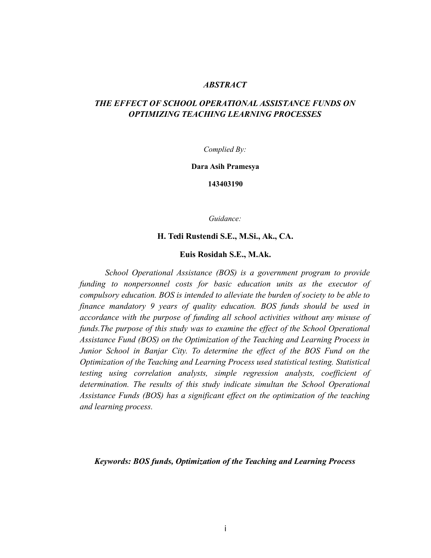# *ABSTRACT*

# *THE EFFECT OF SCHOOL OPERATIONAL ASSISTANCE FUNDS ON OPTIMIZING TEACHING LEARNING PROCESSES*

*Complied By:*

**Dara Asih Pramesya**

**143403190**

*Guidance:*

# **H. Tedi Rustendi S.E., M.Si., Ak., CA.**

#### **Euis Rosidah S.E., M.Ak.**

*School Operational Assistance (BOS) is a government program to provide funding to nonpersonnel costs for basic education units as the executor of compulsory education. BOS is intended to alleviate the burden of society to be able to finance mandatory 9 years of quality education. BOS funds should be used in accordance with the purpose of funding all school activities without any misuse of funds.The purpose of this study was to examine the effect of the School Operational Assistance Fund (BOS) on the Optimization of the Teaching and Learning Process in Junior School in Banjar City. To determine the effect of the BOS Fund on the Optimization of the Teaching and Learning Process used statistical testing. Statistical testing using correlation analysts, simple regression analysts, coefficient of determination. The results of this study indicate simultan the School Operational Assistance Funds (BOS) has a significant effect on the optimization of the teaching and learning process.*

*Keywords: BOS funds, Optimization of the Teaching and Learning Process*